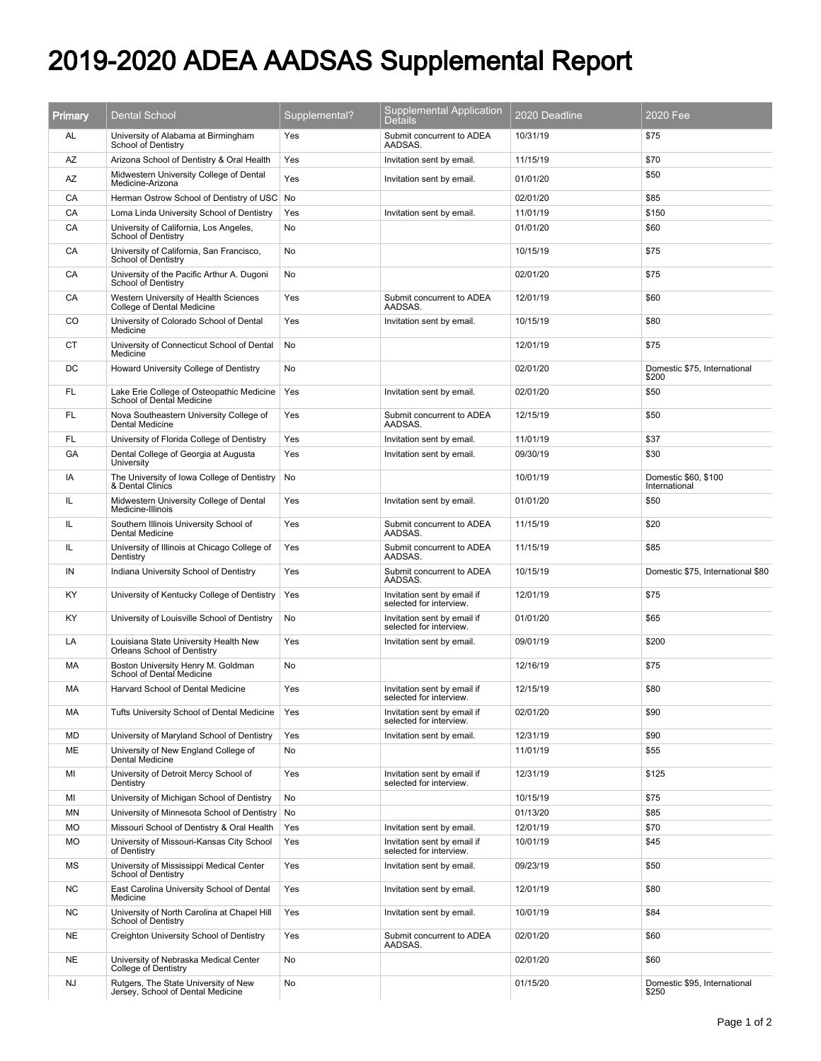## 2019-2020 ADEA AADSAS Supplemental Report

| Primary   | <b>Dental School</b>                                                      | Supplemental? | <b>Supplemental Application</b><br><b>Details</b>      | 2020 Deadline | 2020 Fee                              |
|-----------|---------------------------------------------------------------------------|---------------|--------------------------------------------------------|---------------|---------------------------------------|
| AL        | University of Alabama at Birmingham<br>School of Dentistry                | Yes           | Submit concurrent to ADEA<br>AADSAS.                   | 10/31/19      | \$75                                  |
| AZ        | Arizona School of Dentistry & Oral Health                                 | Yes           | Invitation sent by email.                              | 11/15/19      | \$70                                  |
| AZ        | Midwestern University College of Dental<br>Medicine-Arizona               | Yes           | Invitation sent by email.                              | 01/01/20      | \$50                                  |
| CA        | Herman Ostrow School of Dentistry of USC                                  | No            |                                                        | 02/01/20      | \$85                                  |
| CA        | Loma Linda University School of Dentistry                                 | Yes           | Invitation sent by email.                              | 11/01/19      | \$150                                 |
| CA        | University of California, Los Angeles,<br>School of Dentistry             | No            |                                                        | 01/01/20      | \$60                                  |
| CA        | University of California, San Francisco,<br>School of Dentistry           | No            |                                                        | 10/15/19      | \$75                                  |
| СA        | University of the Pacific Arthur A. Dugoni<br>School of Dentistry         | No            |                                                        | 02/01/20      | \$75                                  |
| CA        | Western University of Health Sciences<br>College of Dental Medicine       | Yes           | Submit concurrent to ADEA<br>AADSAS.                   | 12/01/19      | \$60                                  |
| CO        | University of Colorado School of Dental<br>Medicine                       | Yes           | Invitation sent by email.                              | 10/15/19      | \$80                                  |
| СT        | University of Connecticut School of Dental<br>Medicine                    | No            |                                                        | 12/01/19      | \$75                                  |
| DC.       | Howard University College of Dentistry                                    | No            |                                                        | 02/01/20      | Domestic \$75, International<br>\$200 |
| FL        | Lake Erie College of Osteopathic Medicine<br>School of Dental Medicine    | Yes           | Invitation sent by email.                              | 02/01/20      | \$50                                  |
| FL        | Nova Southeastern University College of<br><b>Dental Medicine</b>         | Yes           | Submit concurrent to ADEA<br>AADSAS.                   | 12/15/19      | \$50                                  |
| FL        | University of Florida College of Dentistry                                | Yes           | Invitation sent by email.                              | 11/01/19      | \$37                                  |
| GA        | Dental College of Georgia at Augusta<br>University                        | Yes           | Invitation sent by email.                              | 09/30/19      | \$30                                  |
| IA        | The University of Iowa College of Dentistry<br>& Dental Clinics           | No            |                                                        | 10/01/19      | Domestic \$60, \$100<br>International |
| IL.       | Midwestern University College of Dental<br>Medicine-Illinois              | Yes           | Invitation sent by email.                              | 01/01/20      | \$50                                  |
| IL        | Southern Illinois University School of<br>Dental Medicine                 | Yes           | Submit concurrent to ADEA<br>AADSAS.                   | 11/15/19      | \$20                                  |
| IL        | University of Illinois at Chicago College of<br>Dentistry                 | Yes           | Submit concurrent to ADEA<br>AADSAS.                   | 11/15/19      | \$85                                  |
| IN        | Indiana University School of Dentistry                                    | Yes           | Submit concurrent to ADEA<br>AADSAS.                   | 10/15/19      | Domestic \$75, International \$80     |
| KY        | University of Kentucky College of Dentistry                               | Yes           | Invitation sent by email if<br>selected for interview. | 12/01/19      | \$75                                  |
| KY        | University of Louisville School of Dentistry                              | No            | Invitation sent by email if<br>selected for interview. | 01/01/20      | \$65                                  |
| LA        | Louisiana State University Health New<br>Orleans School of Dentistry      | Yes           | Invitation sent by email.                              | 09/01/19      | \$200                                 |
| МA        | Boston University Henry M. Goldman<br>School of Dental Medicine           | No            |                                                        | 12/16/19      | \$75                                  |
| МA        | Harvard School of Dental Medicine                                         | Yes           | Invitation sent by email if<br>selected for interview. | 12/15/19      | \$80                                  |
| МA        | Tufts University School of Dental Medicine                                | Yes           | Invitation sent by email if<br>selected for interview. | 02/01/20      | \$90                                  |
| MD        | University of Maryland School of Dentistry                                | Yes           | Invitation sent by email.                              | 12/31/19      | \$90                                  |
| ME        | University of New England College of<br>Dental Medicine                   | No            |                                                        | 11/01/19      | \$55                                  |
| ΜI        | University of Detroit Mercy School of<br>Dentistry                        | Yes           | Invitation sent by email if<br>selected for interview. | 12/31/19      | \$125                                 |
| ΜI        | University of Michigan School of Dentistry                                | No            |                                                        | 10/15/19      | \$75                                  |
| MN        | University of Minnesota School of Dentistry                               | No            |                                                        | 01/13/20      | \$85                                  |
| MO        | Missouri School of Dentistry & Oral Health                                | Yes           | Invitation sent by email.                              | 12/01/19      | \$70                                  |
| MO        | University of Missouri-Kansas City School<br>of Dentistry                 | Yes           | Invitation sent by email if<br>selected for interview. | 10/01/19      | \$45                                  |
| ΜS        | University of Mississippi Medical Center<br>School of Dentistry           | Yes           | Invitation sent by email.                              | 09/23/19      | \$50                                  |
| <b>NC</b> | East Carolina University School of Dental<br>Medicine                     | Yes           | Invitation sent by email.                              | 12/01/19      | \$80                                  |
| <b>NC</b> | University of North Carolina at Chapel Hill<br>School of Dentistry        | Yes           | Invitation sent by email.                              | 10/01/19      | \$84                                  |
| <b>NE</b> | Creighton University School of Dentistry                                  | Yes           | Submit concurrent to ADEA<br>AADSAS.                   | 02/01/20      | \$60                                  |
| NE.       | University of Nebraska Medical Center<br><b>College of Dentistry</b>      | No            |                                                        | 02/01/20      | \$60                                  |
| <b>NJ</b> | Rutgers, The State University of New<br>Jersey, School of Dental Medicine | No            |                                                        | 01/15/20      | Domestic \$95, International<br>\$250 |